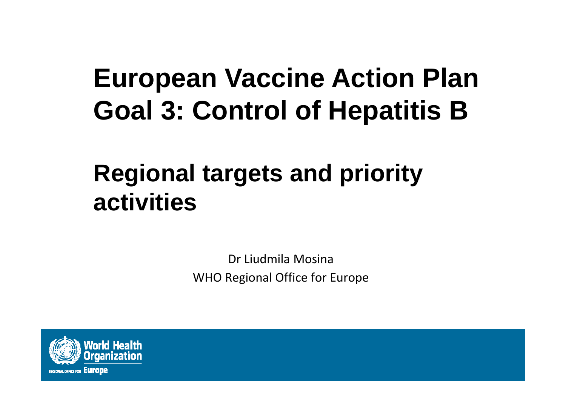# **European Vaccine Action Plan Goal 3: Control of Hepatitis B**

## **Regional targets and priority activities**

Dr Liudmila Mosina WHO Regional Office for Europe

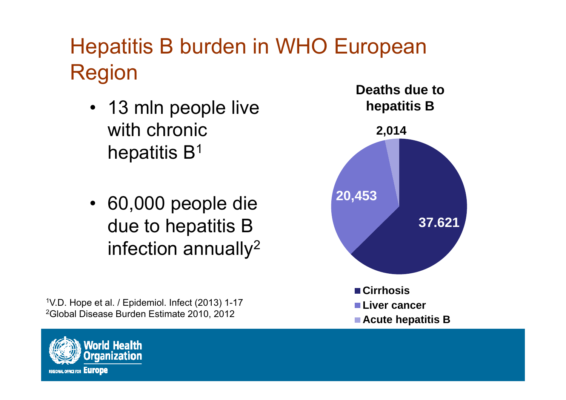## Hepatitis B burden in WHO European Region

- 13 mln people live with chronic hepatitis B $^{\rm 1}$
- 60,000 people die due to hepatitis B infection annually $^2$

1V.D. Hope et al. / Epidemiol. Infect (2013) 1-17 2Global Disease Burden Estimate 2010, 2012



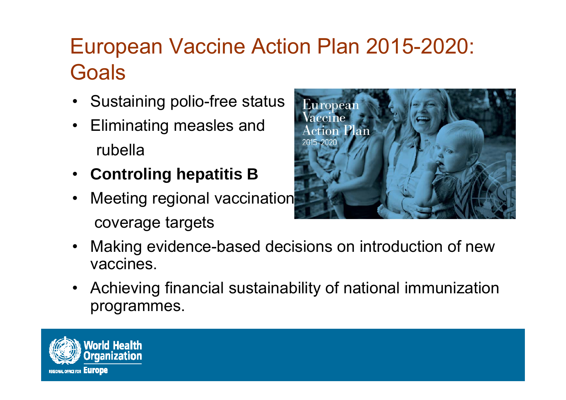### European Vaccine Action Plan 2015-2020: **Goals**

- •Sustaining polio-free status
- • Eliminating measles and rubella
- **Controling hepatitis B**
- • Meeting regional vaccination coverage targets



- • Making evidence-based decisions on introduction of new vaccines.
- Achieving financial sustainability of national immunization programmes.

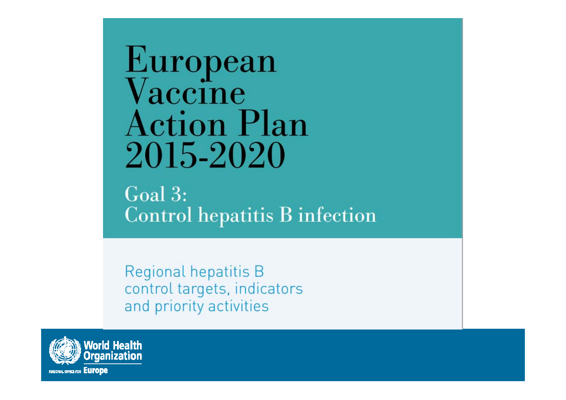European<br>Vaccine **Action Plan** 2015-2020

 $Goal 3:$ **Control hepatitis B infection** 

Regional hepatitis B control targets, indicators and priority activities

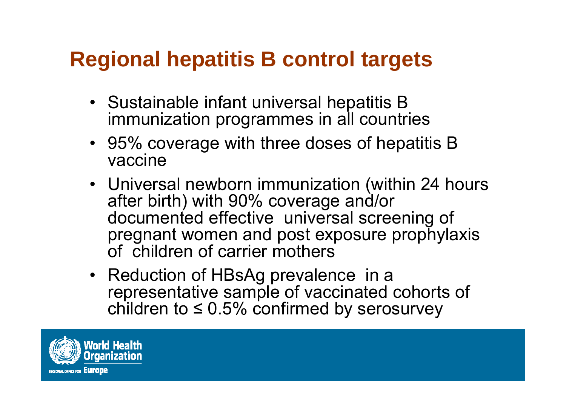#### **Regional hepatitis B control targets**

- Sustainable infant universal hepatitis B immunization programmes in all countries
- 95% coverage with three doses of hepatitis B vaccine
- Universal newborn immunization (within 24 hours after birth) with 90% coverage and/or documented effective universal screening of pregnant women and post exposure prophylaxis of children of carrier mothers
- Reduction of HBsAg prevalence in a representative sample of vaccinated cohorts of children to ≤ 0.5% confirmed by serosurvey

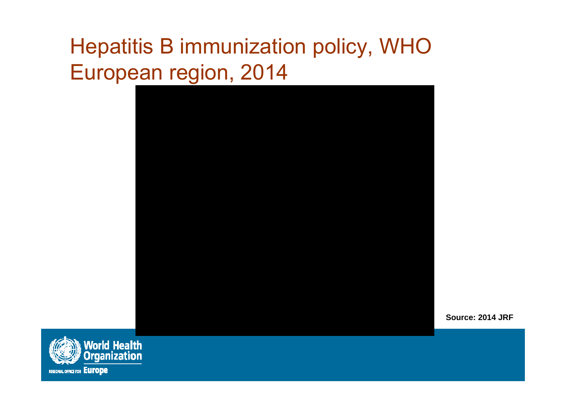## Hepatitis B immunization policy, WHO European region, 2014



**Source: 2014 JRF**

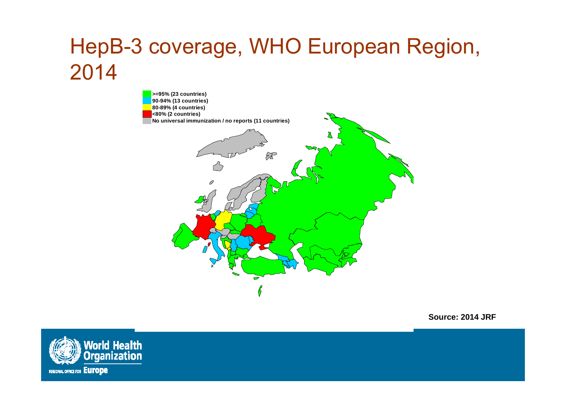## HepB-3 coverage, WHO European Region, 2014



**Source: 2014 JRF**

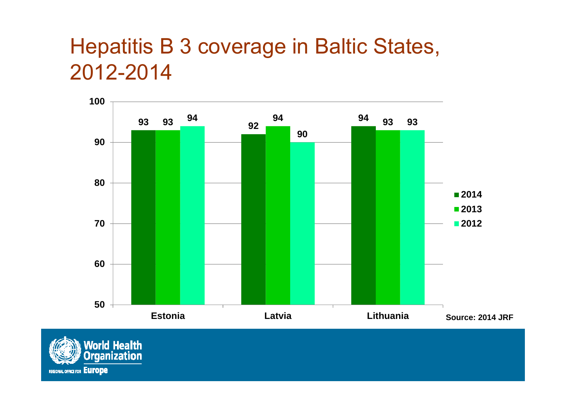#### Hepatitis B 3 coverage in Baltic States, 2012-2014



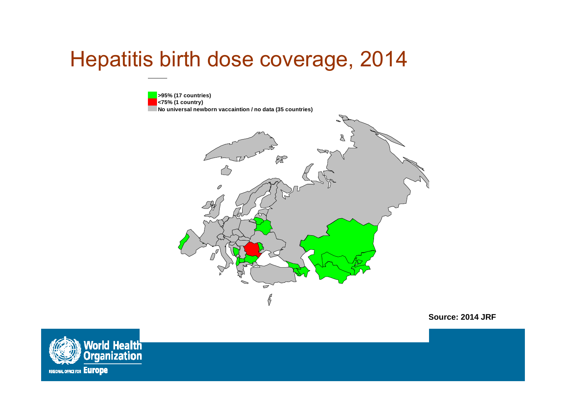#### Hepatitis birth dose coverage, 2014

**>95% (17 countries) <75% (1 country) No universal newborn vaccaintion / no data (35 countries)** $\mathscr{E}$  $\overline{\smash{\bigtriangledown}}$  $\frac{\sqrt{2}}{2}$ 

**Source: 2014 JRF**

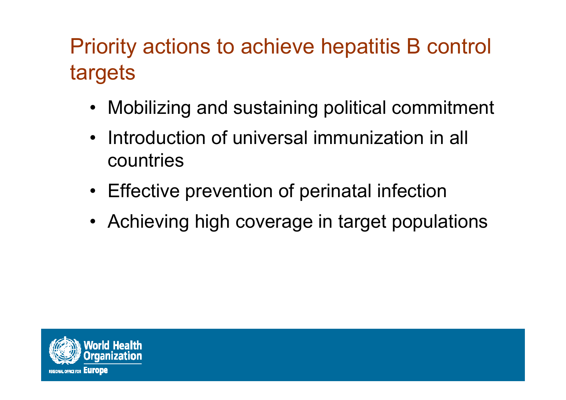## Priority actions to achieve hepatitis B control targets

- •Mobilizing and sustaining political commitment
- $\bullet$  Introduction of universal immunization in all countries
- Effective prevention of perinatal infection
- Achieving high coverage in target populations

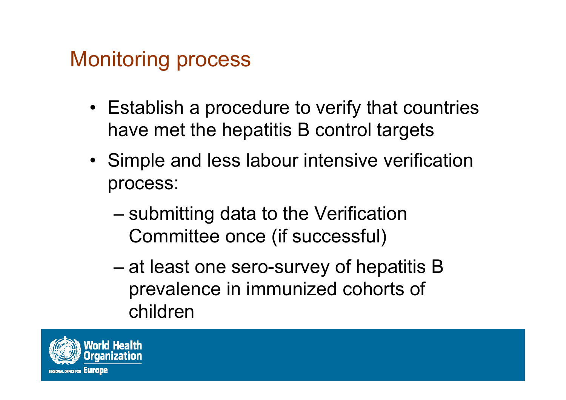#### Monitoring process

- Establish a procedure to verify that countries have met the hepatitis B control targets
- Simple and less labour intensive verification process:
	- – submitting data to the Verification Committee once (if successful)
	- – at least one sero-survey of hepatitis B prevalence in immunized cohorts of children